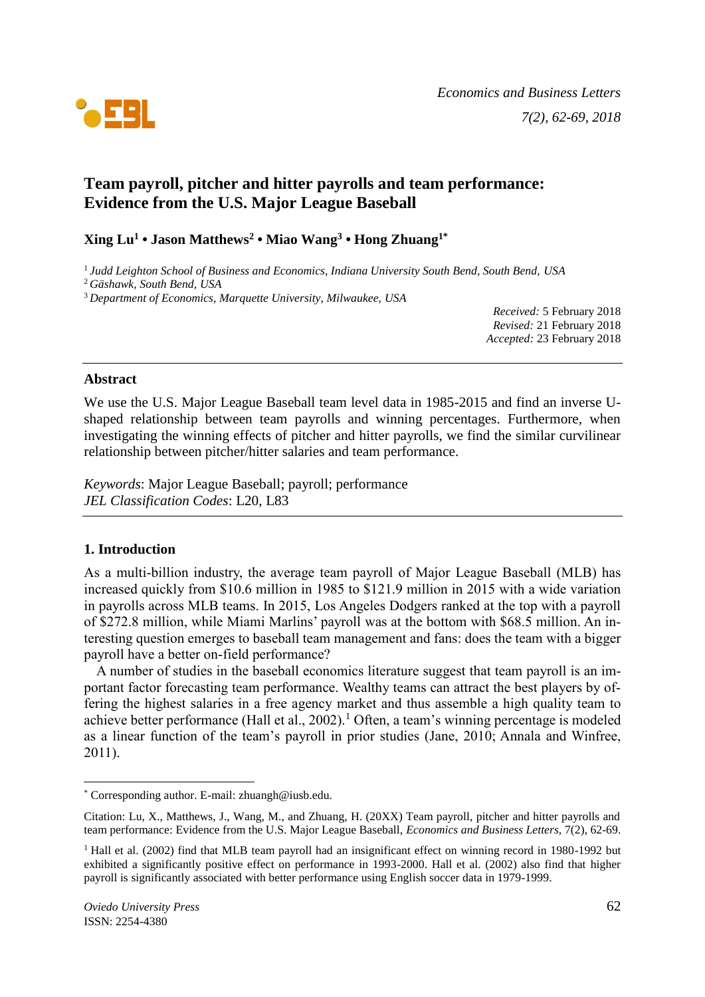

# **Team payroll, pitcher and hitter payrolls and team performance: Evidence from the U.S. Major League Baseball**

### **Xing Lu<sup>1</sup> • Jason Matthews<sup>2</sup> • Miao Wang<sup>3</sup> • Hong Zhuang1\***

1 *Judd Leighton School of Business and Economics, Indiana University South Bend, South Bend, USA*

*Received:* 5 February 2018 *Revised:* 21 February 2018 *Accepted:* 23 February 2018

### **Abstract**

We use the U.S. Major League Baseball team level data in 1985-2015 and find an inverse Ushaped relationship between team payrolls and winning percentages. Furthermore, when investigating the winning effects of pitcher and hitter payrolls, we find the similar curvilinear relationship between pitcher/hitter salaries and team performance.

*Keywords*: Major League Baseball; payroll; performance *JEL Classification Codes*: L20, L83

### **1. Introduction**

As a multi-billion industry, the average team payroll of Major League Baseball (MLB) has increased quickly from \$10.6 million in 1985 to \$121.9 million in 2015 with a wide variation in payrolls across MLB teams. In 2015, Los Angeles Dodgers ranked at the top with a payroll of \$272.8 million, while Miami Marlins' payroll was at the bottom with \$68.5 million. An interesting question emerges to baseball team management and fans: does the team with a bigger payroll have a better on-field performance?

A number of studies in the baseball economics literature suggest that team payroll is an important factor forecasting team performance. Wealthy teams can attract the best players by offering the highest salaries in a free agency market and thus assemble a high quality team to achieve better performance (Hall et al.,  $2002$ ).<sup>1</sup> Often, a team's winning percentage is modeled as a linear function of the team's payroll in prior studies (Jane, 2010; Annala and Winfree, 2011).

<sup>2</sup> *Gäshawk, South Bend, USA*

<sup>3</sup> *Department of Economics, Marquette University, Milwaukee, USA*

<sup>\*</sup> Corresponding author. E-mail: zhuangh@iusb.edu.

Citation: Lu, X., Matthews, J., Wang, M., and Zhuang, H. (20XX) Team payroll, pitcher and hitter payrolls and team performance: Evidence from the U.S. Major League Baseball, *Economics and Business Letters,* 7(2), 62-69.

<sup>&</sup>lt;sup>1</sup> Hall et al. (2002) find that MLB team payroll had an insignificant effect on winning record in 1980-1992 but exhibited a significantly positive effect on performance in 1993-2000. Hall et al. (2002) also find that higher payroll is significantly associated with better performance using English soccer data in 1979-1999.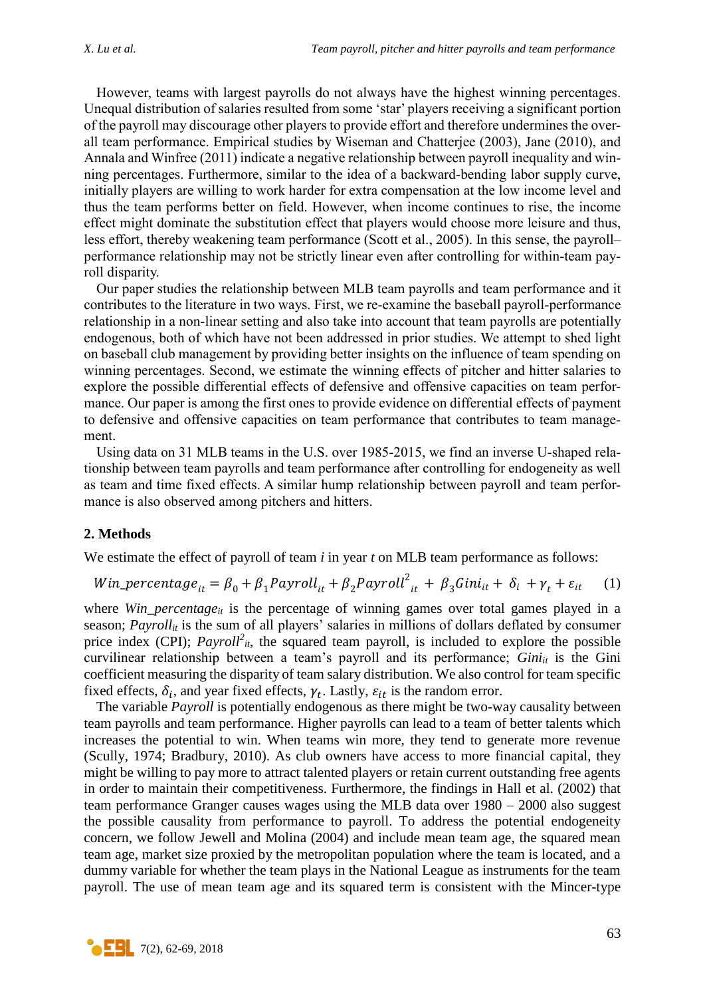However, teams with largest payrolls do not always have the highest winning percentages. Unequal distribution of salaries resulted from some 'star' players receiving a significant portion of the payroll may discourage other players to provide effort and therefore undermines the overall team performance. Empirical studies by Wiseman and Chatterjee (2003), Jane (2010), and Annala and Winfree (2011) indicate a negative relationship between payroll inequality and winning percentages. Furthermore, similar to the idea of a backward-bending labor supply curve, initially players are willing to work harder for extra compensation at the low income level and thus the team performs better on field. However, when income continues to rise, the income effect might dominate the substitution effect that players would choose more leisure and thus, less effort, thereby weakening team performance (Scott et al., 2005). In this sense, the payroll– performance relationship may not be strictly linear even after controlling for within-team payroll disparity.

Our paper studies the relationship between MLB team payrolls and team performance and it contributes to the literature in two ways. First, we re-examine the baseball payroll-performance relationship in a non-linear setting and also take into account that team payrolls are potentially endogenous, both of which have not been addressed in prior studies. We attempt to shed light on baseball club management by providing better insights on the influence of team spending on winning percentages. Second, we estimate the winning effects of pitcher and hitter salaries to explore the possible differential effects of defensive and offensive capacities on team performance. Our paper is among the first ones to provide evidence on differential effects of payment to defensive and offensive capacities on team performance that contributes to team management.

Using data on 31 MLB teams in the U.S. over 1985-2015, we find an inverse U-shaped relationship between team payrolls and team performance after controlling for endogeneity as well as team and time fixed effects. A similar hump relationship between payroll and team performance is also observed among pitchers and hitters.

#### **2. Methods**

We estimate the effect of payroll of team *i* in year *t* on MLB team performance as follows:

$$
Win\_percentage_{it} = \beta_0 + \beta_1 Payroll_{it} + \beta_2 Payroll_{it} + \beta_3 Gini_{it} + \delta_i + \gamma_t + \varepsilon_{it} \tag{1}
$$

where *Win\_percentage*<sup>*it*</sup> is the percentage of winning games over total games played in a season; *Payroll<sub>it</sub>* is the sum of all players' salaries in millions of dollars deflated by consumer price index (CPI);  $Payroll<sup>2</sup><sub>it</sub>$ , the squared team payroll, is included to explore the possible curvilinear relationship between a team's payroll and its performance; *Giniit* is the Gini coefficient measuring the disparity of team salary distribution. We also control for team specific fixed effects,  $\delta_i$ , and year fixed effects,  $\gamma_t$ . Lastly,  $\varepsilon_{it}$  is the random error.

The variable *Payroll* is potentially endogenous as there might be two-way causality between team payrolls and team performance. Higher payrolls can lead to a team of better talents which increases the potential to win. When teams win more, they tend to generate more revenue (Scully, 1974; Bradbury, 2010). As club owners have access to more financial capital, they might be willing to pay more to attract talented players or retain current outstanding free agents in order to maintain their competitiveness. Furthermore, the findings in Hall et al. (2002) that team performance Granger causes wages using the MLB data over 1980 – 2000 also suggest the possible causality from performance to payroll. To address the potential endogeneity concern, we follow Jewell and Molina (2004) and include mean team age, the squared mean team age, market size proxied by the metropolitan population where the team is located, and a dummy variable for whether the team plays in the National League as instruments for the team payroll. The use of mean team age and its squared term is consistent with the Mincer-type

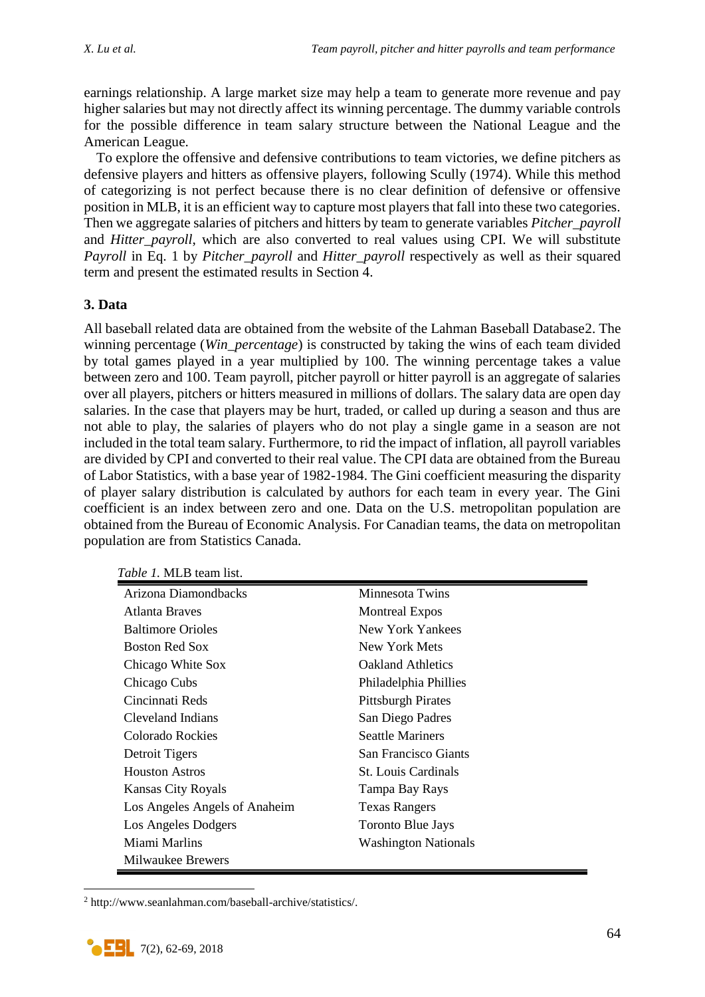earnings relationship. A large market size may help a team to generate more revenue and pay higher salaries but may not directly affect its winning percentage. The dummy variable controls for the possible difference in team salary structure between the National League and the American League.

To explore the offensive and defensive contributions to team victories, we define pitchers as defensive players and hitters as offensive players, following Scully (1974). While this method of categorizing is not perfect because there is no clear definition of defensive or offensive position in MLB, it is an efficient way to capture most players that fall into these two categories. Then we aggregate salaries of pitchers and hitters by team to generate variables *Pitcher\_payroll* and *Hitter\_payroll*, which are also converted to real values using CPI. We will substitute *Payroll* in Eq. 1 by *Pitcher\_payroll* and *Hitter\_payroll* respectively as well as their squared term and present the estimated results in Section 4.

# **3. Data**

All baseball related data are obtained from the website of the Lahman Baseball Database2. The winning percentage (*Win\_percentage*) is constructed by taking the wins of each team divided by total games played in a year multiplied by 100. The winning percentage takes a value between zero and 100. Team payroll, pitcher payroll or hitter payroll is an aggregate of salaries over all players, pitchers or hitters measured in millions of dollars. The salary data are open day salaries. In the case that players may be hurt, traded, or called up during a season and thus are not able to play, the salaries of players who do not play a single game in a season are not included in the total team salary. Furthermore, to rid the impact of inflation, all payroll variables are divided by CPI and converted to their real value. The CPI data are obtained from the Bureau of Labor Statistics, with a base year of 1982-1984. The Gini coefficient measuring the disparity of player salary distribution is calculated by authors for each team in every year. The Gini coefficient is an index between zero and one. Data on the U.S. metropolitan population are obtained from the Bureau of Economic Analysis. For Canadian teams, the data on metropolitan population are from Statistics Canada.

| Arizona Diamondbacks          | Minnesota Twins             |
|-------------------------------|-----------------------------|
| Atlanta Braves                | <b>Montreal Expos</b>       |
| <b>Baltimore Orioles</b>      | New York Yankees            |
| <b>Boston Red Sox</b>         | New York Mets               |
| Chicago White Sox             | <b>Oakland Athletics</b>    |
| Chicago Cubs                  | Philadelphia Phillies       |
| Cincinnati Reds               | <b>Pittsburgh Pirates</b>   |
| Cleveland Indians             | San Diego Padres            |
| Colorado Rockies              | <b>Seattle Mariners</b>     |
| Detroit Tigers                | San Francisco Giants        |
| <b>Houston Astros</b>         | <b>St.</b> Louis Cardinals  |
| <b>Kansas City Royals</b>     | Tampa Bay Rays              |
| Los Angeles Angels of Anaheim | <b>Texas Rangers</b>        |
| Los Angeles Dodgers           | <b>Toronto Blue Jays</b>    |
| Miami Marlins                 | <b>Washington Nationals</b> |
| Milwaukee Brewers             |                             |

*Table 1.* MLB team list.

<sup>2</sup> http://www.seanlahman.com/baseball-archive/statistics/.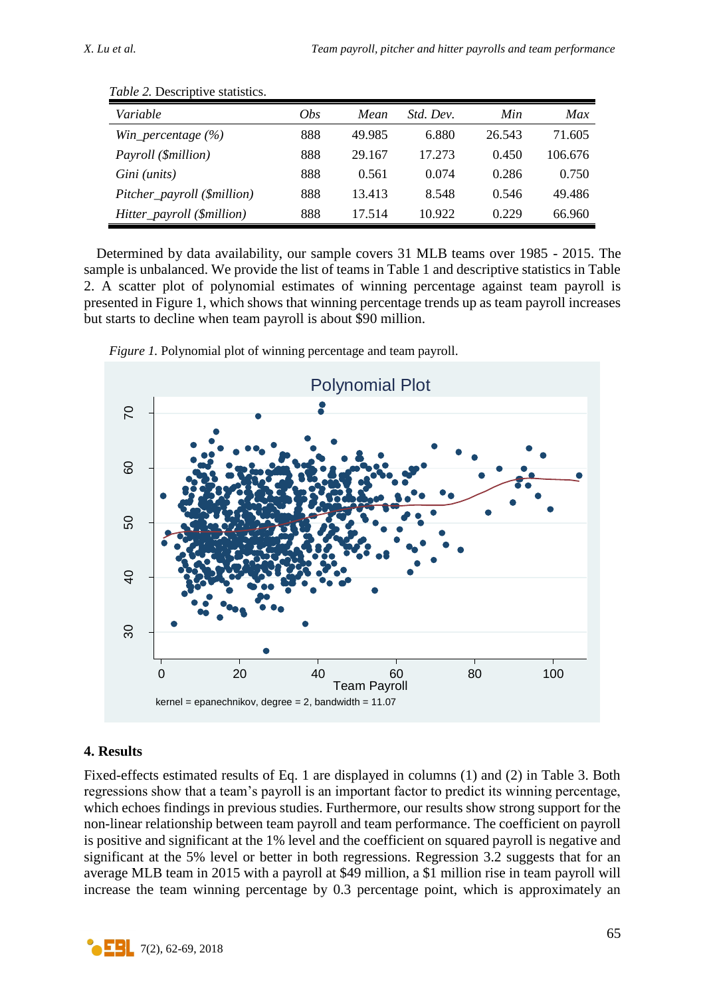| Variable                    | <i>Obs</i> | Mean   | <i>Std. Dev.</i> | Min    | Max     |
|-----------------------------|------------|--------|------------------|--------|---------|
| Win_percentage $(\% )$      | 888        | 49.985 | 6.880            | 26.543 | 71.605  |
| Payroll (\$million)         | 888        | 29.167 | 17.273           | 0.450  | 106.676 |
| Gini (units)                | 888        | 0.561  | 0.074            | 0.286  | 0.750   |
| Pitcher_payroll (\$million) | 888        | 13.413 | 8.548            | 0.546  | 49.486  |
| Hitter_payroll (\$million)  | 888        | 17.514 | 10.922           | 0.229  | 66.960  |

*Table 2.* Descriptive statistics.

Determined by data availability, our sample covers 31 MLB teams over 1985 - 2015. The sample is unbalanced. We provide the list of teams in Table 1 and descriptive statistics in Table 2. A scatter plot of polynomial estimates of winning percentage against team payroll is presented in Figure 1, which shows that winning percentage trends up as team payroll increases but starts to decline when team payroll is about \$90 million.



*Figure 1.* Polynomial plot of winning percentage and team payroll.

# **4. Results**

Fixed-effects estimated results of Eq. 1 are displayed in columns (1) and (2) in Table 3. Both regressions show that a team's payroll is an important factor to predict its winning percentage, which echoes findings in previous studies. Furthermore, our results show strong support for the non-linear relationship between team payroll and team performance. The coefficient on payroll is positive and significant at the 1% level and the coefficient on squared payroll is negative and significant at the 5% level or better in both regressions. Regression 3.2 suggests that for an average MLB team in 2015 with a payroll at \$49 million, a \$1 million rise in team payroll will increase the team winning percentage by 0.3 percentage point, which is approximately an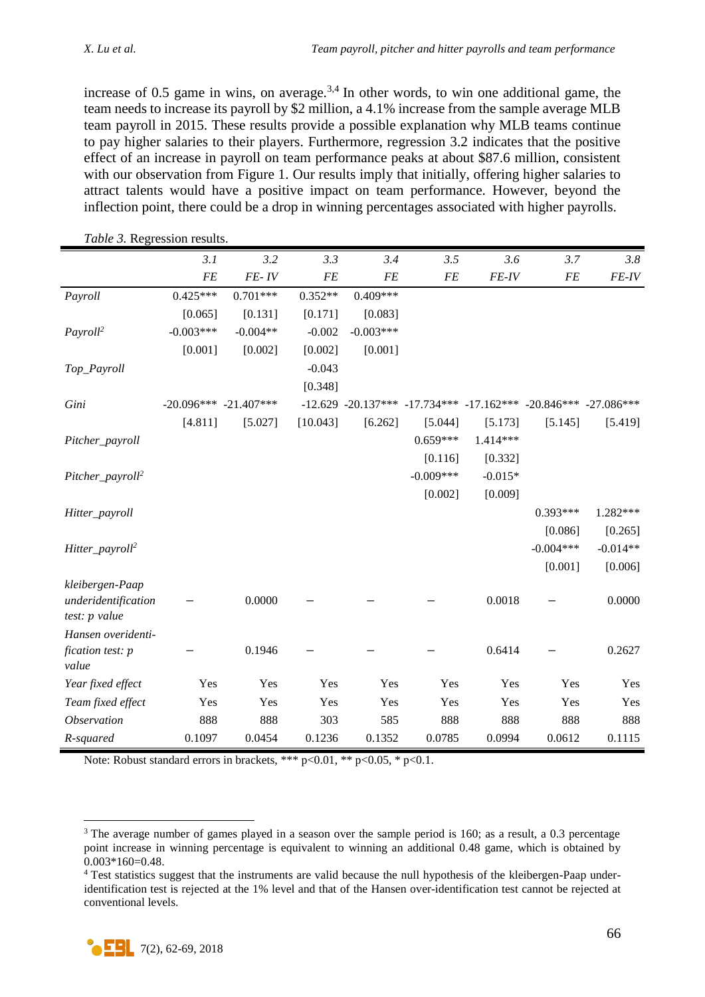increase of 0.5 game in wins, on average.<sup>3,4</sup> In other words, to win one additional game, the team needs to increase its payroll by \$2 million, a 4.1% increase from the sample average MLB team payroll in 2015. These results provide a possible explanation why MLB teams continue to pay higher salaries to their players. Furthermore, regression 3.2 indicates that the positive effect of an increase in payroll on team performance peaks at about \$87.6 million, consistent with our observation from Figure 1. Our results imply that initially, offering higher salaries to attract talents would have a positive impact on team performance. However, beyond the inflection point, there could be a drop in winning percentages associated with higher payrolls.

| <b>FE</b><br>$FE$ - $IV$<br><b>FE</b><br>${\cal F}{\cal E}$<br>FE-IV<br>FE<br><b>FE</b><br>$0.425***$<br>$0.701***$<br>$0.352**$<br>$0.409***$<br>Payroll | FE-IV      |
|-----------------------------------------------------------------------------------------------------------------------------------------------------------|------------|
|                                                                                                                                                           |            |
|                                                                                                                                                           |            |
| [0.131]<br>[0.171]<br>[0.065]<br>[0.083]                                                                                                                  |            |
| $-0.003***$<br>$-0.004**$<br>$-0.002$<br>$-0.003***$<br>Payroll <sup>2</sup>                                                                              |            |
| [0.001]<br>[0.002]<br>[0.002]<br>[0.001]                                                                                                                  |            |
| $-0.043$<br>Top_Payroll                                                                                                                                   |            |
| [0.348]                                                                                                                                                   |            |
| $-12.629 -20.137*** -17.734*** -17.162*** -20.846*** -27.086***$<br>Gini<br>$-20.096***$ $-21.407***$                                                     |            |
| [4.811]<br>[10.043]<br>[6.262]<br>[5.027]<br>[5.044]<br>[5.173]<br>[5.145]                                                                                | [5.419]    |
| $0.659***$<br>$1.414***$<br>Pitcher_payroll                                                                                                               |            |
| [0.116]<br>[0.332]                                                                                                                                        |            |
| $-0.009***$<br>$-0.015*$<br>Pitcher_payroll <sup>2</sup>                                                                                                  |            |
| [0.002]<br>[0.009]                                                                                                                                        |            |
| $0.393***$<br>Hitter_payroll                                                                                                                              | 1.282***   |
| [0.086]                                                                                                                                                   | [0.265]    |
| $-0.004***$<br>Hitter_payroll <sup>2</sup>                                                                                                                | $-0.014**$ |
| [0.001]                                                                                                                                                   | [0.006]    |
| kleibergen-Paap                                                                                                                                           |            |
| 0.0018<br>0.0000<br>underidentification                                                                                                                   | 0.0000     |
| test: p value                                                                                                                                             |            |
| Hansen overidenti-                                                                                                                                        |            |
| 0.1946<br>0.6414<br>fication test: p<br>value                                                                                                             | 0.2627     |
| Yes<br>Yes<br>Yes<br>Yes<br>Year fixed effect<br>Yes<br>Yes<br>Yes                                                                                        | Yes        |
| Yes<br>Yes<br>Yes<br>Yes<br>Yes<br>Yes<br>Team fixed effect<br>Yes                                                                                        | Yes        |
| 888<br>888<br>888<br><i><b>Observation</b></i><br>888<br>303<br>585<br>888                                                                                | 888        |
| 0.0612<br>0.1097<br>0.0454<br>0.1236<br>0.1352<br>0.0785<br>0.0994<br>R-squared                                                                           | 0.1115     |

*Table 3.* Regression results.

Note: Robust standard errors in brackets, \*\*\*  $p<0.01$ , \*\*  $p<0.05$ , \*  $p<0.1$ .

<sup>&</sup>lt;sup>3</sup> The average number of games played in a season over the sample period is 160; as a result, a 0.3 percentage point increase in winning percentage is equivalent to winning an additional 0.48 game, which is obtained by 0.003\*160=0.48.

<sup>&</sup>lt;sup>4</sup> Test statistics suggest that the instruments are valid because the null hypothesis of the kleibergen-Paap underidentification test is rejected at the 1% level and that of the Hansen over-identification test cannot be rejected at conventional levels.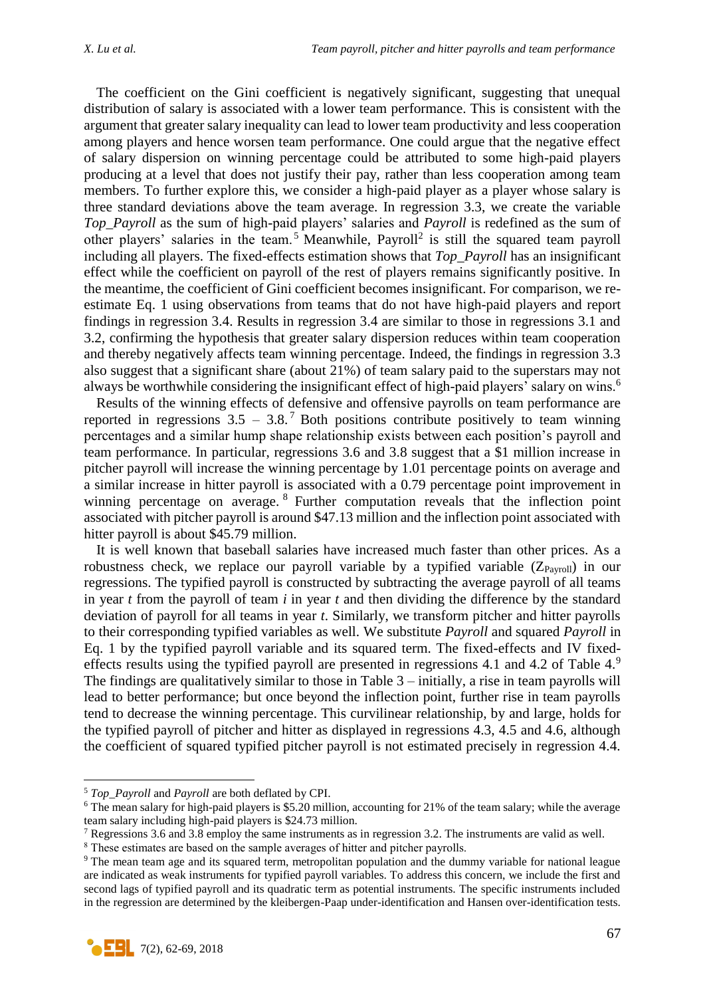The coefficient on the Gini coefficient is negatively significant, suggesting that unequal distribution of salary is associated with a lower team performance. This is consistent with the argument that greater salary inequality can lead to lower team productivity and less cooperation among players and hence worsen team performance. One could argue that the negative effect of salary dispersion on winning percentage could be attributed to some high-paid players producing at a level that does not justify their pay, rather than less cooperation among team members. To further explore this, we consider a high-paid player as a player whose salary is three standard deviations above the team average. In regression 3.3, we create the variable *Top\_Payroll* as the sum of high-paid players' salaries and *Payroll* is redefined as the sum of other players' salaries in the team.<sup>5</sup> Meanwhile, Payroll<sup>2</sup> is still the squared team payroll including all players. The fixed-effects estimation shows that *Top\_Payroll* has an insignificant effect while the coefficient on payroll of the rest of players remains significantly positive. In the meantime, the coefficient of Gini coefficient becomes insignificant. For comparison, we reestimate Eq. 1 using observations from teams that do not have high-paid players and report findings in regression 3.4. Results in regression 3.4 are similar to those in regressions 3.1 and 3.2, confirming the hypothesis that greater salary dispersion reduces within team cooperation and thereby negatively affects team winning percentage. Indeed, the findings in regression 3.3 also suggest that a significant share (about 21%) of team salary paid to the superstars may not always be worthwhile considering the insignificant effect of high-paid players' salary on wins.<sup>6</sup>

Results of the winning effects of defensive and offensive payrolls on team performance are reported in regressions  $3.5 - 3.8$ . Both positions contribute positively to team winning percentages and a similar hump shape relationship exists between each position's payroll and team performance. In particular, regressions 3.6 and 3.8 suggest that a \$1 million increase in pitcher payroll will increase the winning percentage by 1.01 percentage points on average and a similar increase in hitter payroll is associated with a 0.79 percentage point improvement in winning percentage on average. <sup>8</sup> Further computation reveals that the inflection point associated with pitcher payroll is around \$47.13 million and the inflection point associated with hitter payroll is about \$45.79 million.

It is well known that baseball salaries have increased much faster than other prices. As a robustness check, we replace our payroll variable by a typified variable  $(Z_{Pavroll})$  in our regressions. The typified payroll is constructed by subtracting the average payroll of all teams in year *t* from the payroll of team *i* in year *t* and then dividing the difference by the standard deviation of payroll for all teams in year *t*. Similarly, we transform pitcher and hitter payrolls to their corresponding typified variables as well. We substitute *Payroll* and squared *Payroll* in Eq. 1 by the typified payroll variable and its squared term. The fixed-effects and IV fixedeffects results using the typified payroll are presented in regressions 4.1 and 4.2 of Table 4.<sup>9</sup> The findings are qualitatively similar to those in Table 3 – initially, a rise in team payrolls will lead to better performance; but once beyond the inflection point, further rise in team payrolls tend to decrease the winning percentage. This curvilinear relationship, by and large, holds for the typified payroll of pitcher and hitter as displayed in regressions 4.3, 4.5 and 4.6, although the coefficient of squared typified pitcher payroll is not estimated precisely in regression 4.4.

<sup>&</sup>lt;sup>9</sup> The mean team age and its squared term, metropolitan population and the dummy variable for national league are indicated as weak instruments for typified payroll variables. To address this concern, we include the first and second lags of typified payroll and its quadratic term as potential instruments. The specific instruments included in the regression are determined by the kleibergen-Paap under-identification and Hansen over-identification tests.



<sup>5</sup> *Top\_Payroll* and *Payroll* are both deflated by CPI.

<sup>6</sup> The mean salary for high-paid players is \$5.20 million, accounting for 21% of the team salary; while the average team salary including high-paid players is \$24.73 million.

<sup>7</sup> Regressions 3.6 and 3.8 employ the same instruments as in regression 3.2. The instruments are valid as well.

<sup>&</sup>lt;sup>8</sup> These estimates are based on the sample averages of hitter and pitcher payrolls.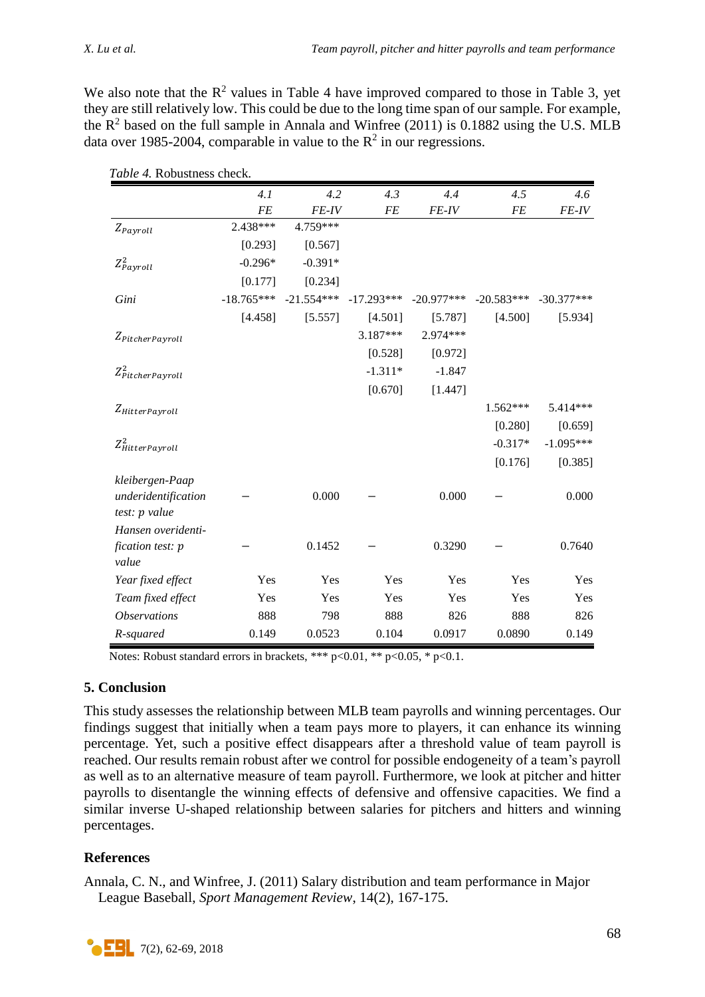We also note that the  $R^2$  values in Table 4 have improved compared to those in Table 3, yet they are still relatively low. This could be due to the long time span of our sample. For example, the  $R^2$  based on the full sample in Annala and Winfree (2011) is 0.1882 using the U.S. MLB data over 1985-2004, comparable in value to the  $R^2$  in our regressions.

|                            | 4.1          | 4.2          | 4.3          | 4.4          | 4.5          | 4.6          |
|----------------------------|--------------|--------------|--------------|--------------|--------------|--------------|
|                            | <b>FE</b>    | <b>FE-IV</b> | <b>FE</b>    | <b>FE-IV</b> | <b>FE</b>    | $FE-IV$      |
| $Z_{Payroll}$              | 2.438***     | 4.759***     |              |              |              |              |
|                            | [0.293]      | [0.567]      |              |              |              |              |
| $Z_{Payroll}^2$            | $-0.296*$    | $-0.391*$    |              |              |              |              |
|                            | [0.177]      | [0.234]      |              |              |              |              |
| Gini                       | $-18.765***$ | $-21.554***$ | $-17.293***$ | $-20.977***$ | $-20.583***$ | $-30.377***$ |
|                            | [4.458]      | [5.557]      | [4.501]      | [5.787]      | [4.500]      | [5.934]      |
| $Z_{PitcherPayroll}$       |              |              | 3.187***     | 2.974***     |              |              |
|                            |              |              | [0.528]      | [0.972]      |              |              |
| $Z_{PitcherPayroll}^2$     |              |              | $-1.311*$    | $-1.847$     |              |              |
|                            |              |              | [0.670]      | [1.447]      |              |              |
| Z <sub>HitterPayroll</sub> |              |              |              |              | $1.562***$   | 5.414***     |
|                            |              |              |              |              | [0.280]      | [0.659]      |
| $Z_{HitterPayroll}^2$      |              |              |              |              | $-0.317*$    | $-1.095***$  |
|                            |              |              |              |              | [0.176]      | [0.385]      |
| kleibergen-Paap            |              |              |              |              |              |              |
| underidentification        |              | 0.000        |              | 0.000        |              | 0.000        |
| test: p value              |              |              |              |              |              |              |
| Hansen overidenti-         |              |              |              |              |              |              |
| fication test: p<br>value  |              | 0.1452       |              | 0.3290       |              | 0.7640       |
| Year fixed effect          | Yes          | Yes          | Yes          | Yes          | Yes          | Yes          |
| Team fixed effect          | Yes          | Yes          | Yes          | Yes          | Yes          | Yes          |
| <i><b>Observations</b></i> | 888          | 798          | 888          | 826          | 888          | 826          |
| R-squared                  | 0.149        | 0.0523       | 0.104        | 0.0917       | 0.0890       | 0.149        |

*Table 4.* Robustness check.

Notes: Robust standard errors in brackets, \*\*\*  $p<0.01$ , \*\*  $p<0.05$ , \*  $p<0.1$ .

# **5. Conclusion**

This study assesses the relationship between MLB team payrolls and winning percentages. Our findings suggest that initially when a team pays more to players, it can enhance its winning percentage. Yet, such a positive effect disappears after a threshold value of team payroll is reached. Our results remain robust after we control for possible endogeneity of a team's payroll as well as to an alternative measure of team payroll. Furthermore, we look at pitcher and hitter payrolls to disentangle the winning effects of defensive and offensive capacities. We find a similar inverse U-shaped relationship between salaries for pitchers and hitters and winning percentages.

# **References**

Annala, C. N., and Winfree, J. (2011) Salary distribution and team performance in Major League Baseball, *Sport Management Review*, 14(2), 167-175.